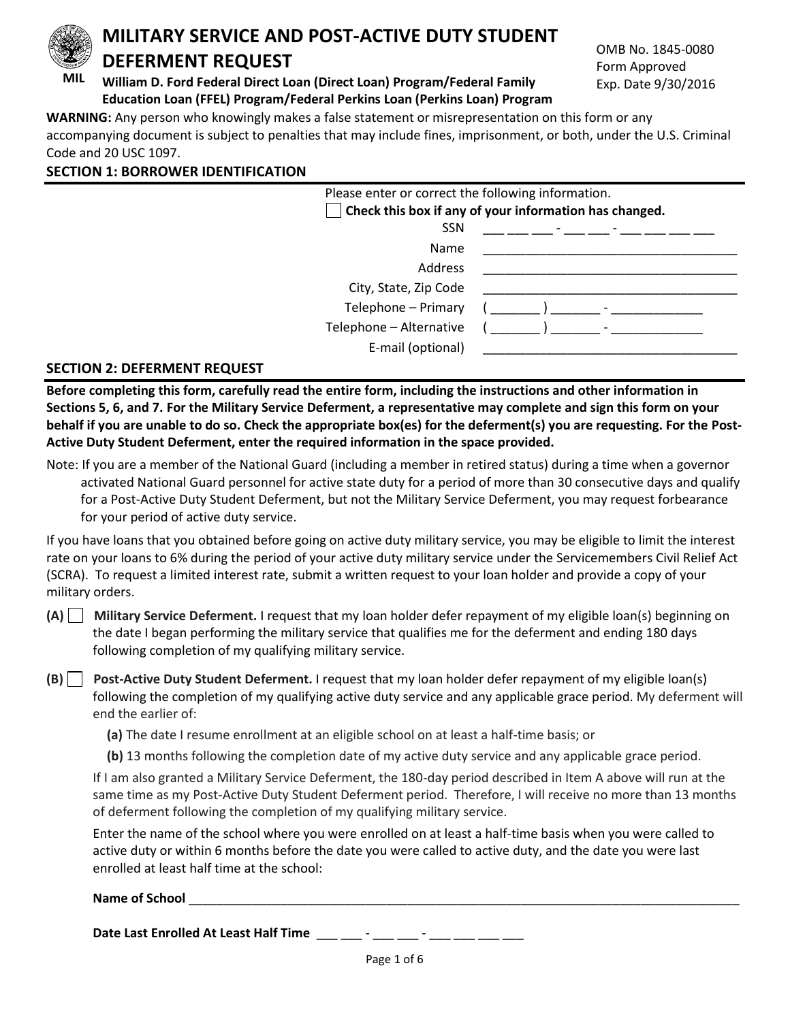

 **MIL William D. Ford Federal Direct Loan (Direct Loan) Program/Federal Family Education Loan (FFEL) Program/Federal Perkins Loan (Perkins Loan) Program**

OMB No. 1845-0080 Form Approved Exp. Date 9/30/2016

**WARNING:** Any person who knowingly makes a false statement or misrepresentation on this form or any accompanying document is subject to penalties that may include fines, imprisonment, or both, under the U.S. Criminal Code and 20 USC 1097.

| <b>SECTION 1: BORROWER IDENTIFICATION</b> |  |
|-------------------------------------------|--|
|-------------------------------------------|--|

| Please enter or correct the following information. | Check this box if any of your information has changed. |
|----------------------------------------------------|--------------------------------------------------------|
| <b>SSN</b>                                         | アンティー・シー アンティー・ディー・エンジン                                |
| <b>Name</b>                                        |                                                        |
| Address                                            |                                                        |
| City, State, Zip Code                              |                                                        |
| Telephone - Primary                                |                                                        |
| Telephone - Alternative<br>E-mail (optional)       |                                                        |

#### **SECTION 2: DEFERMENT REQUEST**

**Before completing this form, carefully read the entire form, including the instructions and other information in Sections 5, 6, and 7. For the Military Service Deferment, a representative may complete and sign this form on your behalf if you are unable to do so. Check the appropriate box(es) for the deferment(s) you are requesting. For the Post-Active Duty Student Deferment, enter the required information in the space provided.** 

Note: If you are a member of the National Guard (including a member in retired status) during a time when a governor activated National Guard personnel for active state duty for a period of more than 30 consecutive days and qualify for a Post-Active Duty Student Deferment, but not the Military Service Deferment, you may request forbearance for your period of active duty service.

If you have loans that you obtained before going on active duty military service, you may be eligible to limit the interest rate on your loans to 6% during the period of your active duty military service under the Servicemembers Civil Relief Act (SCRA). To request a limited interest rate, submit a written request to your loan holder and provide a copy of your military orders.

**(A) Military Service Deferment.** I request that my loan holder defer repayment of my eligible loan(s) beginning on the date I began performing the military service that qualifies me for the deferment and ending 180 days following completion of my qualifying military service.

**(B) Post-Active Duty Student Deferment.** I request that my loan holder defer repayment of my eligible loan(s) following the completion of my qualifying active duty service and any applicable grace period. My deferment will end the earlier of:

**(a)** The date I resume enrollment at an eligible school on at least a half-time basis; or

**(b)** 13 months following the completion date of my active duty service and any applicable grace period.

If I am also granted a Military Service Deferment, the 180-day period described in Item A above will run at the same time as my Post-Active Duty Student Deferment period. Therefore, I will receive no more than 13 months of deferment following the completion of my qualifying military service.

Enter the name of the school where you were enrolled on at least a half-time basis when you were called to active duty or within 6 months before the date you were called to active duty, and the date you were last enrolled at least half time at the school:

Name of School

Date Last Enrolled At Least Half Time \_\_\_ \_\_ - \_\_\_ \_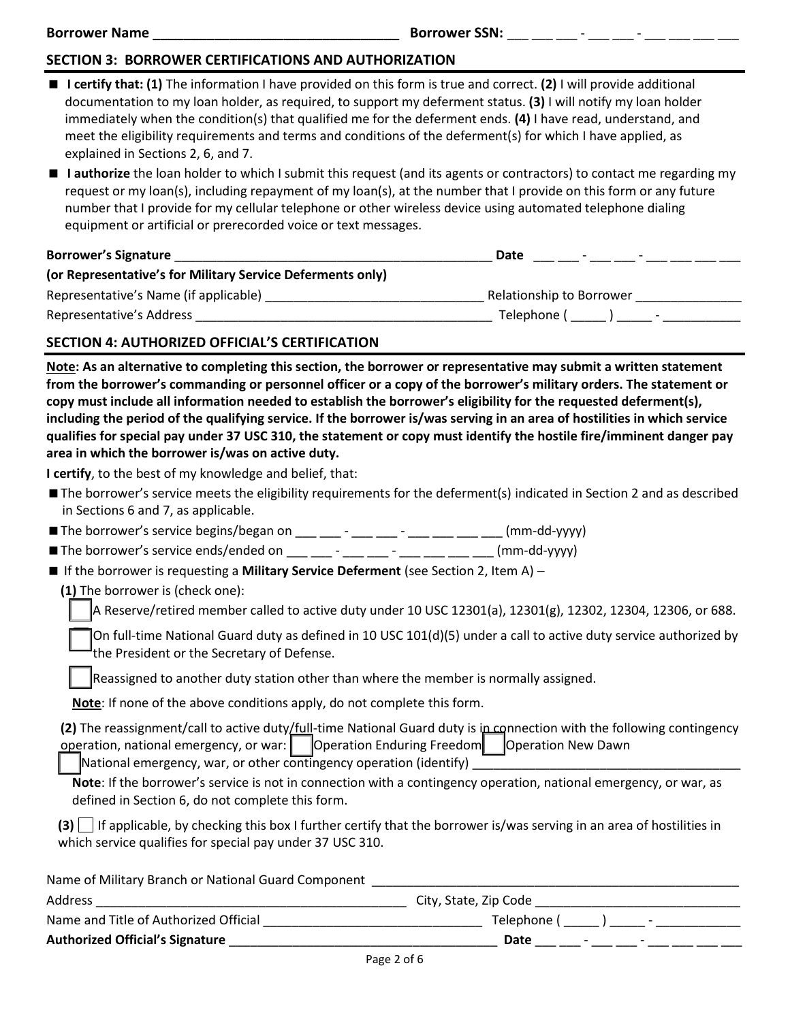## **SECTION 3: BORROWER CERTIFICATIONS AND AUTHORIZATION**

- **I certify that: (1)** The information I have provided on this form is true and correct. **(2)** I will provide additional documentation to my loan holder, as required, to support my deferment status. **(3)** I will notify my loan holder immediately when the condition(s) that qualified me for the deferment ends. **(4)** I have read, understand, and meet the eligibility requirements and terms and conditions of the deferment(s) for which I have applied, as explained in Sections 2, 6, and 7.
- **I authorize** the loan holder to which I submit this request (and its agents or contractors) to contact me regarding my request or my loan(s), including repayment of my loan(s), at the number that I provide on this form or any future number that I provide for my cellular telephone or other wireless device using automated telephone dialing equipment or artificial or prerecorded voice or text messages.

| <b>Borrower's Signature</b>                                | Date<br>$\overline{\phantom{0}}$ |                          |
|------------------------------------------------------------|----------------------------------|--------------------------|
| (or Representative's for Military Service Deferments only) |                                  |                          |
| Representative's Name (if applicable)                      | Relationship to Borrower         |                          |
| Representative's Address                                   | Telephone (                      | $\overline{\phantom{a}}$ |

#### **SECTION 4: AUTHORIZED OFFICIAL'S CERTIFICATION**

**Note: As an alternative to completing this section, the borrower or representative may submit a written statement from the borrower's commanding or personnel officer or a copy of the borrower's military orders. The statement or copy must include all information needed to establish the borrower's eligibility for the requested deferment(s), including the period of the qualifying service. If the borrower is/was serving in an area of hostilities in which service qualifies for special pay under 37 USC 310, the statement or copy must identify the hostile fire/imminent danger pay area in which the borrower is/was on active duty.** 

**I certify**, to the best of my knowledge and belief, that:

- The borrower's service meets the eligibility requirements for the deferment(s) indicated in Section 2 and as described in Sections 6 and 7, as applicable.
- The borrower's service begins/began on \_\_\_ \_\_ \_\_ \_\_ \_\_ \_\_ \_\_ \_\_ (mm-dd-yyyy)
- The borrower's service ends/ended on \_\_\_ \_\_\_ \_\_\_ \_\_ \_\_\_ \_\_\_ \_\_\_ \_\_\_ (mm-dd-yyyy)
- If the borrower is requesting a **Military Service Deferment** (see Section 2, Item A)
	- **(1)** The borrower is (check one):

A Reserve/retired member called to active duty under 10 USC 12301(a), 12301(g), 12302, 12304, 12306, or 688.

On full-time National Guard duty as defined in 10 USC 101(d)(5) under a call to active duty service authorized by the President or the Secretary of Defense.

Reassigned to another duty station other than where the member is normally assigned.

**Note**: If none of the above conditions apply, do not complete this form.

| (2) The reassignment/call to active duty/full-time National Guard duty is ip connection with the following contingency |  |
|------------------------------------------------------------------------------------------------------------------------|--|
| operation, national emergency, or war: Operation Enduring Freedom   Operation New Dawn                                 |  |
|                                                                                                                        |  |

National emergency, war, or other contingency operation (identify) \_\_\_\_\_\_\_\_\_\_\_\_\_

**Note**: If the borrower's service is not in connection with a contingency operation, national emergency, or war, as defined in Section 6, do not complete this form.

**(3)** If applicable, by checking this box I further certify that the borrower is/was serving in an area of hostilities in which service qualifies for special pay under 37 USC 310.

| Name of Military Branch or National Guard Component |                                         |
|-----------------------------------------------------|-----------------------------------------|
| Address                                             | City, State, Zip Code                   |
| Name and Title of Authorized Official               | Telephone (<br>$\overline{\phantom{0}}$ |
| <b>Authorized Official's Signature</b>              | Date                                    |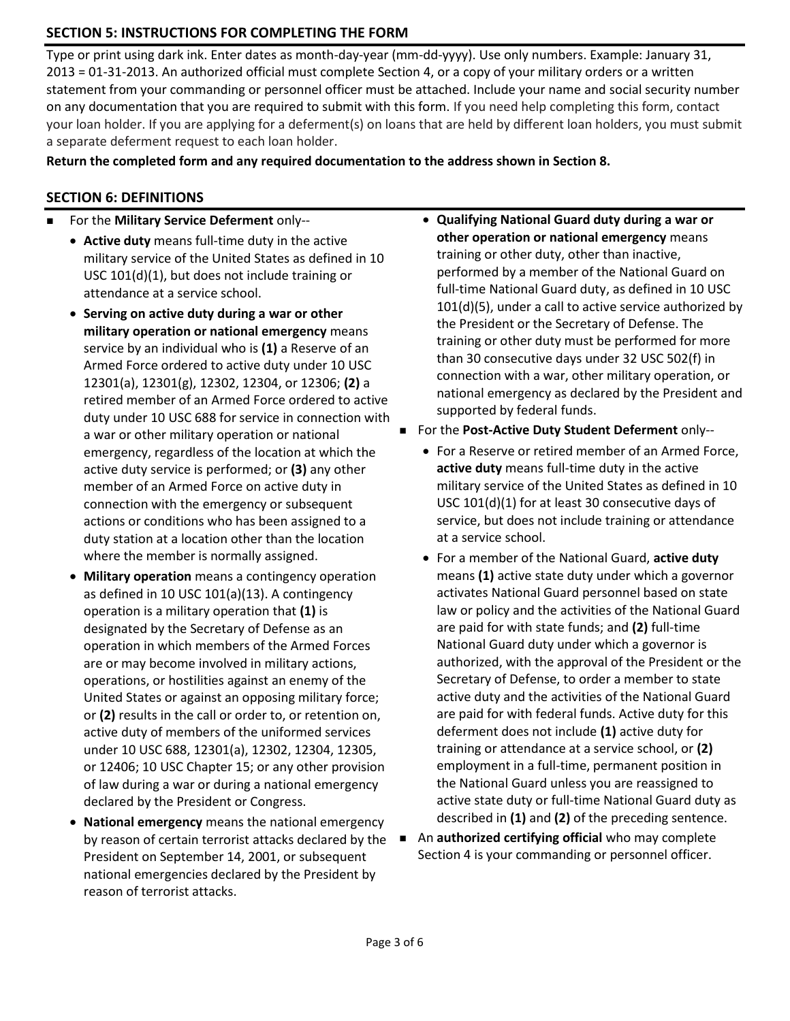# **SECTION 5: INSTRUCTIONS FOR COMPLETING THE FORM**

Type or print using dark ink. Enter dates as month-day-year (mm-dd-yyyy). Use only numbers. Example: January 31, 2013 = 01-31-2013. An authorized official must complete Section 4, or a copy of your military orders or a written statement from your commanding or personnel officer must be attached. Include your name and social security number on any documentation that you are required to submit with this form. If you need help completing this form, contact your loan holder. If you are applying for a deferment(s) on loans that are held by different loan holders, you must submit a separate deferment request to each loan holder.

**Return the completed form and any required documentation to the address shown in Section 8.** 

## **SECTION 6: DEFINITIONS**

- For the **Military Service Deferment** only--
	- **Active duty** means full-time duty in the active military service of the United States as defined in 10 USC 101(d)(1), but does not include training or attendance at a service school.
	- **Serving on active duty during a war or other military operation or national emergency** means service by an individual who is **(1)** a Reserve of an Armed Force ordered to active duty under 10 USC 12301(a), 12301(g), 12302, 12304, or 12306; **(2)** a retired member of an Armed Force ordered to active duty under 10 USC 688 for service in connection with a war or other military operation or national emergency, regardless of the location at which the active duty service is performed; or **(3)** any other member of an Armed Force on active duty in connection with the emergency or subsequent actions or conditions who has been assigned to a duty station at a location other than the location where the member is normally assigned.
	- **Military operation** means a contingency operation as defined in 10 USC 101(a)(13). A contingency operation is a military operation that **(1)** is designated by the Secretary of Defense as an operation in which members of the Armed Forces are or may become involved in military actions, operations, or hostilities against an enemy of the United States or against an opposing military force; or **(2)** results in the call or order to, or retention on, active duty of members of the uniformed services under 10 USC 688, 12301(a), 12302, 12304, 12305, or 12406; 10 USC Chapter 15; or any other provision of law during a war or during a national emergency declared by the President or Congress.
	- **National emergency** means the national emergency by reason of certain terrorist attacks declared by the President on September 14, 2001, or subsequent national emergencies declared by the President by reason of terrorist attacks.
- **Qualifying National Guard duty during a war or other operation or national emergency** means training or other duty, other than inactive, performed by a member of the National Guard on full-time National Guard duty, as defined in 10 USC 101(d)(5), under a call to active service authorized by the President or the Secretary of Defense. The training or other duty must be performed for more than 30 consecutive days under 32 USC 502(f) in connection with a war, other military operation, or national emergency as declared by the President and supported by federal funds.
- For the **Post-Active Duty Student Deferment** only--
	- For a Reserve or retired member of an Armed Force, **active duty** means full-time duty in the active military service of the United States as defined in 10 USC 101(d)(1) for at least 30 consecutive days of service, but does not include training or attendance at a service school.
	- For a member of the National Guard, **active duty** means **(1)** active state duty under which a governor activates National Guard personnel based on state law or policy and the activities of the National Guard are paid for with state funds; and **(2)** full-time National Guard duty under which a governor is authorized, with the approval of the President or the Secretary of Defense, to order a member to state active duty and the activities of the National Guard are paid for with federal funds. Active duty for this deferment does not include **(1)** active duty for training or attendance at a service school, or **(2)** employment in a full-time, permanent position in the National Guard unless you are reassigned to active state duty or full-time National Guard duty as described in **(1)** and **(2)** of the preceding sentence.
- An **authorized certifying official** who may complete Section 4 is your commanding or personnel officer.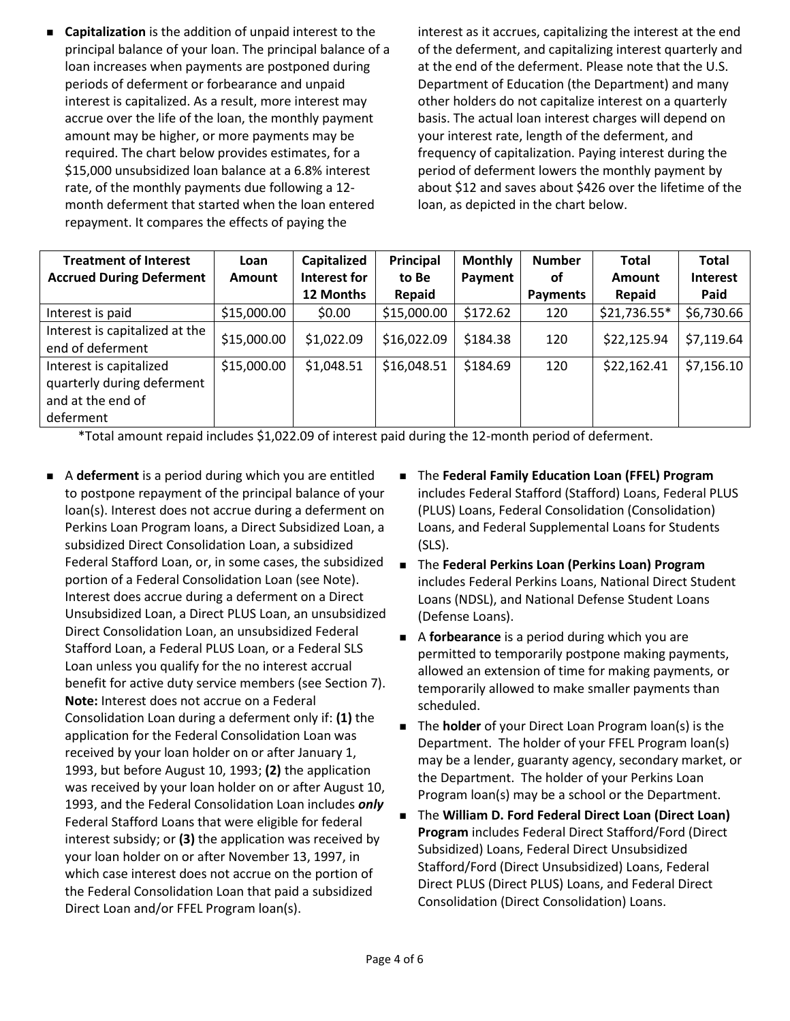**Capitalization** is the addition of unpaid interest to the principal balance of your loan. The principal balance of a loan increases when payments are postponed during periods of deferment or forbearance and unpaid interest is capitalized. As a result, more interest may accrue over the life of the loan, the monthly payment amount may be higher, or more payments may be required. The chart below provides estimates, for a \$15,000 unsubsidized loan balance at a 6.8% interest rate, of the monthly payments due following a 12 month deferment that started when the loan entered repayment. It compares the effects of paying the

interest as it accrues, capitalizing the interest at the end of the deferment, and capitalizing interest quarterly and at the end of the deferment. Please note that the U.S. Department of Education (the Department) and many other holders do not capitalize interest on a quarterly basis. The actual loan interest charges will depend on your interest rate, length of the deferment, and frequency of capitalization. Paying interest during the period of deferment lowers the monthly payment by about \$12 and saves about \$426 over the lifetime of the loan, as depicted in the chart below.

| <b>Treatment of Interest</b><br><b>Accrued During Deferment</b>                         | Loan<br><b>Amount</b> | Capitalized<br>Interest for | Principal<br>to Be | <b>Monthly</b><br>Payment | <b>Number</b><br>οf | <b>Total</b><br><b>Amount</b> | <b>Total</b><br><b>Interest</b> |
|-----------------------------------------------------------------------------------------|-----------------------|-----------------------------|--------------------|---------------------------|---------------------|-------------------------------|---------------------------------|
|                                                                                         |                       | 12 Months                   | Repaid             |                           | Payments            | Repaid                        | Paid                            |
| Interest is paid                                                                        | \$15,000.00           | \$0.00                      | \$15,000.00        | \$172.62                  | 120                 | \$21,736.55*                  | \$6,730.66                      |
| Interest is capitalized at the<br>end of deferment                                      | \$15,000.00           | \$1,022.09                  | \$16,022.09        | \$184.38                  | 120                 | \$22,125.94                   | \$7,119.64                      |
| Interest is capitalized<br>quarterly during deferment<br>and at the end of<br>deferment | \$15,000.00           | \$1,048.51                  | \$16,048.51        | \$184.69                  | 120                 | \$22,162.41                   | \$7,156.10                      |

\*Total amount repaid includes \$1,022.09 of interest paid during the 12-month period of deferment.

- A **deferment** is a period during which you are entitled to postpone repayment of the principal balance of your loan(s). Interest does not accrue during a deferment on Perkins Loan Program loans, a Direct Subsidized Loan, a subsidized Direct Consolidation Loan, a subsidized Federal Stafford Loan, or, in some cases, the subsidized portion of a Federal Consolidation Loan (see Note). Interest does accrue during a deferment on a Direct Unsubsidized Loan, a Direct PLUS Loan, an unsubsidized Direct Consolidation Loan, an unsubsidized Federal Stafford Loan, a Federal PLUS Loan, or a Federal SLS Loan unless you qualify for the no interest accrual benefit for active duty service members (see Section 7). **Note:** Interest does not accrue on a Federal Consolidation Loan during a deferment only if: **(1)** the application for the Federal Consolidation Loan was received by your loan holder on or after January 1, 1993, but before August 10, 1993; **(2)** the application was received by your loan holder on or after August 10, 1993, and the Federal Consolidation Loan includes *only*  Federal Stafford Loans that were eligible for federal interest subsidy; or **(3)** the application was received by your loan holder on or after November 13, 1997, in which case interest does not accrue on the portion of the Federal Consolidation Loan that paid a subsidized Direct Loan and/or FFEL Program loan(s).
- The **Federal Family Education Loan (FFEL) Program** includes Federal Stafford (Stafford) Loans, Federal PLUS (PLUS) Loans, Federal Consolidation (Consolidation) Loans, and Federal Supplemental Loans for Students (SLS).
- The **Federal Perkins Loan (Perkins Loan) Program** includes Federal Perkins Loans, National Direct Student Loans (NDSL), and National Defense Student Loans (Defense Loans).
- A **forbearance** is a period during which you are permitted to temporarily postpone making payments, allowed an extension of time for making payments, or temporarily allowed to make smaller payments than scheduled.
- **The holder** of your Direct Loan Program loan(s) is the Department. The holder of your FFEL Program loan(s) may be a lender, guaranty agency, secondary market, or the Department. The holder of your Perkins Loan Program loan(s) may be a school or the Department.
- The **William D. Ford Federal Direct Loan (Direct Loan) Program** includes Federal Direct Stafford/Ford (Direct Subsidized) Loans, Federal Direct Unsubsidized Stafford/Ford (Direct Unsubsidized) Loans, Federal Direct PLUS (Direct PLUS) Loans, and Federal Direct Consolidation (Direct Consolidation) Loans.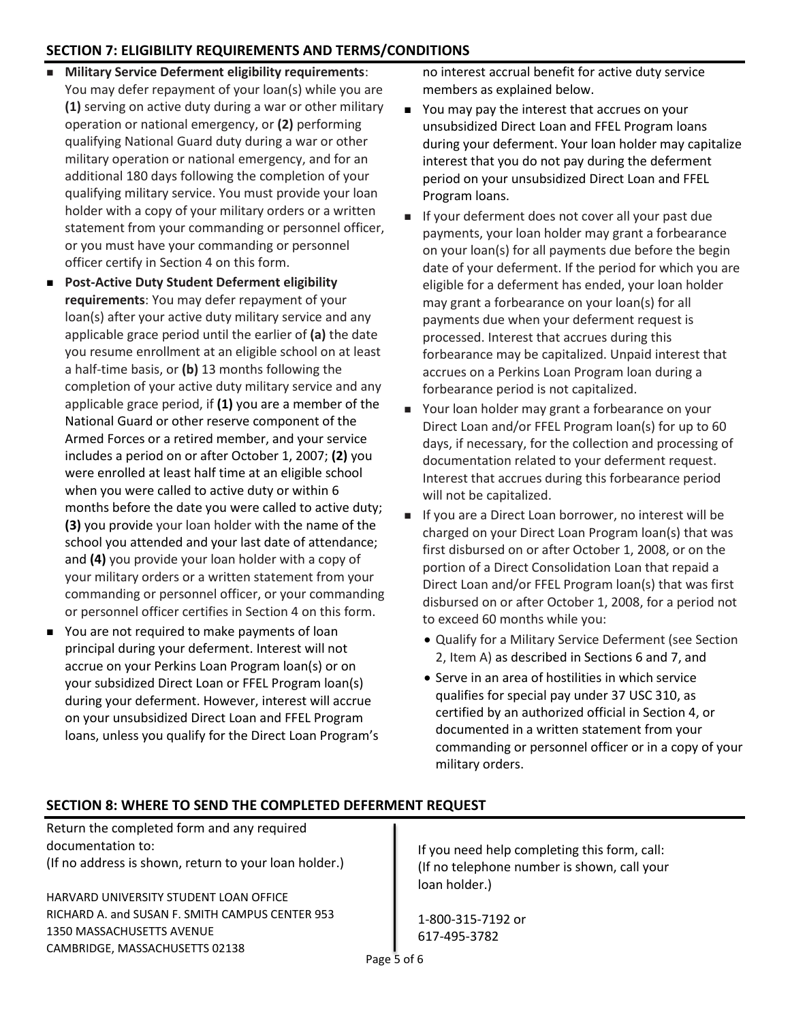# **SECTION 7: ELIGIBILITY REQUIREMENTS AND TERMS/CONDITIONS**

- **Military Service Deferment eligibility requirements:** You may defer repayment of your loan(s) while you are **(1)** serving on active duty during a war or other military operation or national emergency, or **(2)** performing qualifying National Guard duty during a war or other military operation or national emergency, and for an additional 180 days following the completion of your qualifying military service. You must provide your loan holder with a copy of your military orders or a written statement from your commanding or personnel officer, or you must have your commanding or personnel officer certify in Section 4 on this form.
- **Post-Active Duty Student Deferment eligibility requirements**: You may defer repayment of your loan(s) after your active duty military service and any applicable grace period until the earlier of **(a)** the date you resume enrollment at an eligible school on at least a half-time basis, or **(b)** 13 months following the completion of your active duty military service and any applicable grace period, if **(1)** you are a member of the National Guard or other reserve component of the Armed Forces or a retired member, and your service includes a period on or after October 1, 2007; **(2)** you were enrolled at least half time at an eligible school when you were called to active duty or within 6 months before the date you were called to active duty; **(3)** you provide your loan holder with the name of the school you attended and your last date of attendance; and **(4)** you provide your loan holder with a copy of your military orders or a written statement from your commanding or personnel officer, or your commanding or personnel officer certifies in Section 4 on this form.
- You are not required to make payments of loan principal during your deferment. Interest will not accrue on your Perkins Loan Program loan(s) or on your subsidized Direct Loan or FFEL Program loan(s) during your deferment. However, interest will accrue on your unsubsidized Direct Loan and FFEL Program loans, unless you qualify for the Direct Loan Program's

no interest accrual benefit for active duty service members as explained below.

- You may pay the interest that accrues on your unsubsidized Direct Loan and FFEL Program loans during your deferment. Your loan holder may capitalize interest that you do not pay during the deferment period on your unsubsidized Direct Loan and FFEL Program loans.
- If your deferment does not cover all your past due payments, your loan holder may grant a forbearance on your loan(s) for all payments due before the begin date of your deferment. If the period for which you are eligible for a deferment has ended, your loan holder may grant a forbearance on your loan(s) for all payments due when your deferment request is processed. Interest that accrues during this forbearance may be capitalized. Unpaid interest that accrues on a Perkins Loan Program loan during a forbearance period is not capitalized.
- Your loan holder may grant a forbearance on your Direct Loan and/or FFEL Program loan(s) for up to 60 days, if necessary, for the collection and processing of documentation related to your deferment request. Interest that accrues during this forbearance period will not be capitalized.
- If you are a Direct Loan borrower, no interest will be charged on your Direct Loan Program loan(s) that was first disbursed on or after October 1, 2008, or on the portion of a Direct Consolidation Loan that repaid a Direct Loan and/or FFEL Program loan(s) that was first disbursed on or after October 1, 2008, for a period not to exceed 60 months while you:
	- Qualify for a Military Service Deferment (see Section 2, Item A) as described in Sections 6 and 7, and
	- Serve in an area of hostilities in which service qualifies for special pay under 37 USC 310, as certified by an authorized official in Section 4, or documented in a written statement from your commanding or personnel officer or in a copy of your military orders.

### **SECTION 8: WHERE TO SEND THE COMPLETED DEFERMENT REQUEST**

Return the completed form and any required documentation to: (If no address is shown, return to your loan holder.)

HARVARD UNIVERSITY STUDENT LOAN OFFICE RICHARD A. and SUSAN F. SMITH CAMPUS CENTER 953 1350 MASSACHUSETTS AVENUE CAMBRIDGE, MASSACHUSETTS 02138

If you need help completing this form, call: (If no telephone number is shown, call your loan holder.)

1-800-315-7192 or 617-495-3782